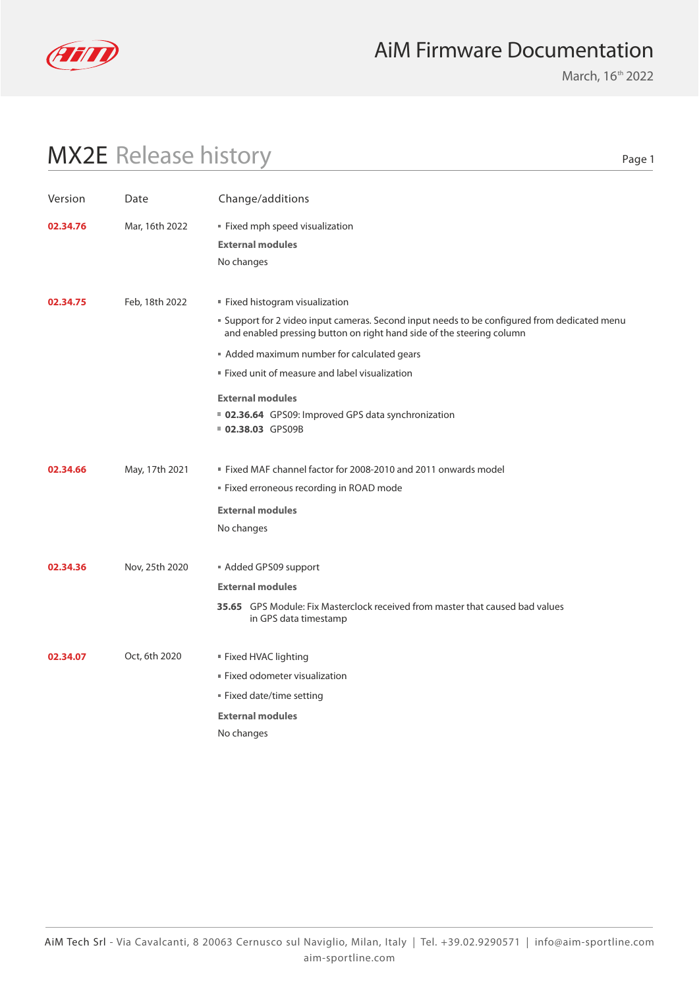

## AiM Firmware Documentation

March, 16<sup>th</sup> 2022

## MX2E Release history

Page 1

| Version  | Date           | Change/additions                                                                                                                                                                                                                                                                                                                                                                                            |
|----------|----------------|-------------------------------------------------------------------------------------------------------------------------------------------------------------------------------------------------------------------------------------------------------------------------------------------------------------------------------------------------------------------------------------------------------------|
| 02.34.76 | Mar, 16th 2022 | Fixed mph speed visualization<br><b>External modules</b><br>No changes                                                                                                                                                                                                                                                                                                                                      |
| 02.34.75 | Feb, 18th 2022 | Fixed histogram visualization<br>" Support for 2 video input cameras. Second input needs to be configured from dedicated menu<br>and enabled pressing button on right hand side of the steering column<br>Added maximum number for calculated gears<br>" Fixed unit of measure and label visualization<br><b>External modules</b><br>■ 02.36.64 GPS09: Improved GPS data synchronization<br>02.38.03 GPS09B |
| 02.34.66 | May, 17th 2021 | ■ Fixed MAF channel factor for 2008-2010 and 2011 onwards model<br>" Fixed erroneous recording in ROAD mode<br><b>External modules</b><br>No changes                                                                                                                                                                                                                                                        |
| 02.34.36 | Nov, 25th 2020 | Added GPS09 support<br><b>External modules</b><br>35.65 GPS Module: Fix Masterclock received from master that caused bad values<br>in GPS data timestamp                                                                                                                                                                                                                                                    |
| 02.34.07 | Oct, 6th 2020  | Fixed HVAC lighting<br>■ Fixed odometer visualization<br>" Fixed date/time setting<br><b>External modules</b><br>No changes                                                                                                                                                                                                                                                                                 |